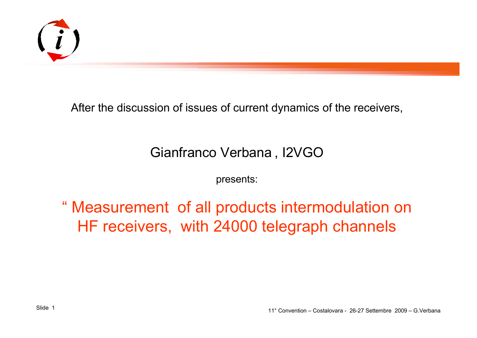

After the discussion of issues of current dynamics of the receivers,

#### Gianfranco Verbana , I2VGO

presents:

" Measurement of all products intermodulation on HF receivers, with 24000 telegraph channels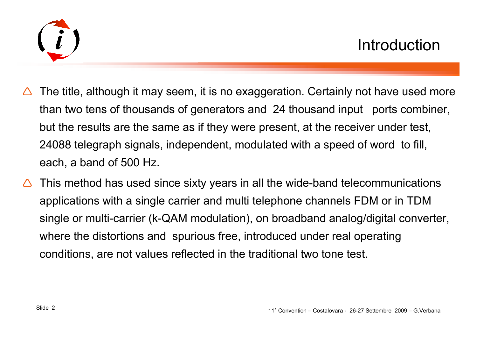

- $\bigwedge$  The title, although it may seem, it is no exaggeration. Certainly not have used more than two tens of thousands of generators and 24 thousand input ports combiner, but the results are the same as if they were present, at the receiver under test, 24088 telegraph signals, independent, modulated with a speed of word to fill, each, a band of 500 Hz.
- $\triangle$  This method has used since sixty years in all the wide-band telecommunications applications with a single carrier and multi telephone channels FDM or in TDM single or multi-carrier (k-QAM modulation), on broadband analog/digital converter, where the distortions and spurious free, introduced under real operating conditions, are not values reflected in the traditional two tone test.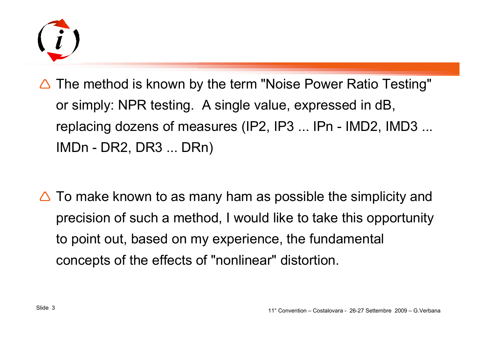

- $\Delta$  The method is known by the term "Noise Power Ratio Testing" or simply: NPR testing. A single value, expressed in dB, replacing dozens of measures (IP2, IP3 ... IPn - IMD2, IMD3 ... IMDn - DR2, DR3 ... DRn)
- $\triangle$  To make known to as many ham as possible the simplicity and precision of such a method, I would like to take this opportunity to point out, based on my experience, the fundamental concepts of the effects of "nonlinear" distortion.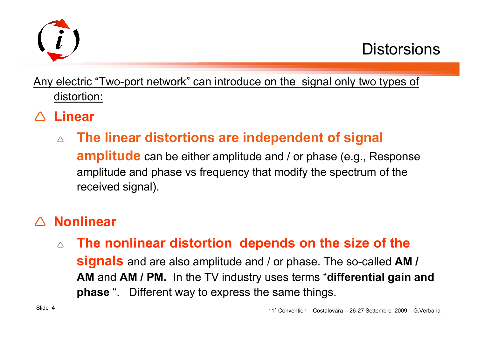

Any electric "Two-port network" can introduce on the signal only two types of distortion:

- △ **Linear**<br>→
	- $\wedge$ **The linear distortions are independent of signal**

**amplitude** can be either amplitude and / or phase (e.g., Response amplitude and phase vs frequency that modify the spectrum of thereceived signal).

# △ **Nonlinear**<br>–

 $\wedge$ **The nonlinear distortion depends on the size of the** 

**signals** and are also amplitude and / or phase. The so-called **AM / AM** and **AM / PM.** In the TV industry uses terms "**differential gain and phase** ". Different way to express the same things.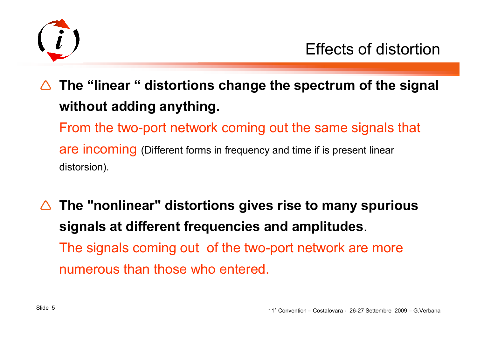

 $\Delta$  **The "linear " distortions change the spectrum of the signal without adding anything.**From the two-port network coming out the same signals that

are incoming (Different forms in frequency and time if is present linear distorsion).

 $\Delta$  **The "nonlinear" distortions gives rise to many spurious signals at different frequencies and amplitudes**.The signals coming out of the two-port network are more numerous than those who entered.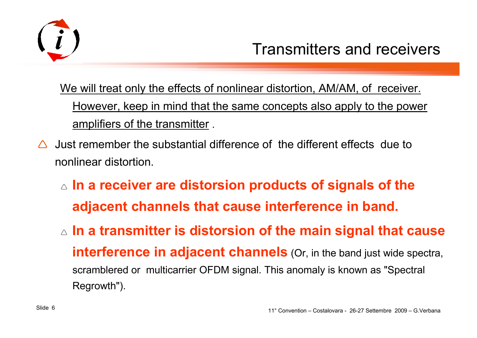

We will treat only the effects of nonlinear distortion, AM/AM, of receiver. However, keep in mind that the same concepts also apply to the power amplifiers of the transmitter .

- $\Delta$  Just remember the substantial difference of the different effects due to nonlinear distortion.
	- **In a receiver are distorsion products of signals of the adjacent channels that cause interference in band.**
	- **In a transmitter is distorsion of the main signal that cause interference in adjacent channels** (Or, in the band just wide spectra, scramblered or multicarrier OFDM signal. This anomaly is known as "Spectral Regrowth").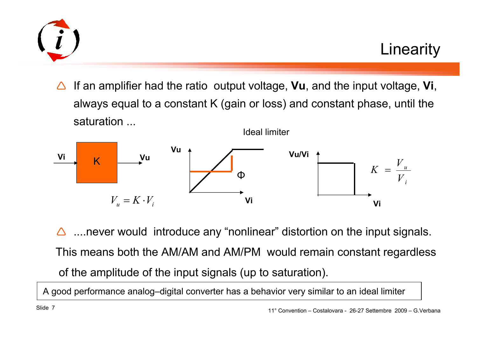

 $\triangle$  If an amplifier had the ratio output voltage, **Vu**, and the input voltage, **Vi**, always equal to a constant K (gain or loss) and constant phase, until the saturation ...Ideal limiter



 $\triangle$  ....never would introduce any "nonlinear" distortion on the input signals. This means both the AM/AM and AM/PM would remain constant regardlessof the amplitude of the input signals (up to saturation).

A good performance analog–digital converter has a behavior very similar to an ideal limiter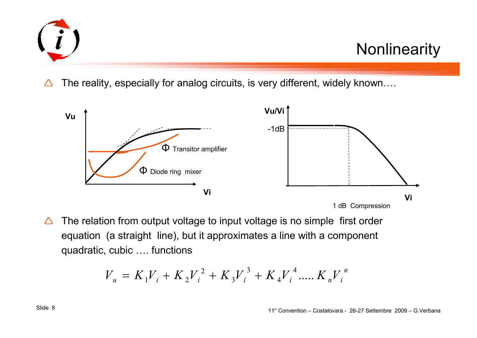

**Nonlinearity** 

 $\triangle$ The reality, especially for analog circuits, is very different, widely known….



 $\triangle$  The relation from output voltage to input voltage is no simple first order equation (a straight line), but it approximates a line with a componentquadratic, cubic …. functions

$$
V_{u} = K_{1}V_{i} + K_{2}V_{i}^{2} + K_{3}V_{i}^{3} + K_{4}V_{i}^{4} + K_{n}V_{i}^{n}
$$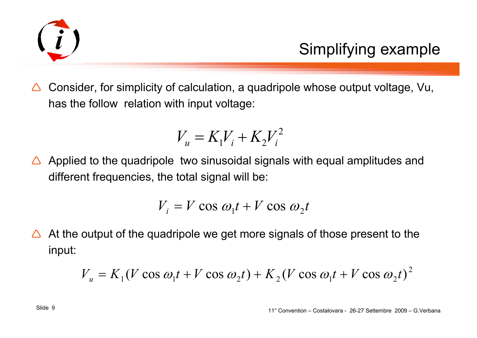

 $\Delta$  Consider, for simplicity of calculation, a quadripole whose output voltage, Vu, has the follow relation with input voltage:

$$
V_u = K_1 V_i + K_2 V_i^2
$$

 $\triangle$  Applied to the quadripole two sinusoidal signals with equal amplitudes and  $\triangle$ different frequencies, the total signal will be:

$$
V_i = V \cos \omega_1 t + V \cos \omega_2 t
$$

 $\triangle$  At the output of the quadripole we get more signals of those present to the input:

$$
V_u = K_1 (V \cos \omega_1 t + V \cos \omega_2 t) + K_2 (V \cos \omega_1 t + V \cos \omega_2 t)^2
$$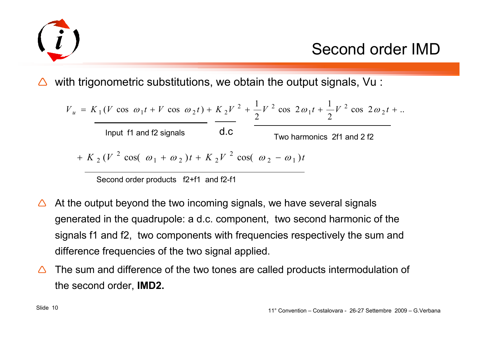

 $\mathbf{l}$ 

### Second order IMD

 $\triangle$ with trigonometric substitutions, we obtain the output signals, Vu :

$$
V_u = K_1 (V \cos \omega_1 t + V \cos \omega_2 t) + K_2 V^2 + \frac{1}{2} V^2 \cos 2\omega_1 t + \frac{1}{2} V^2 \cos 2\omega_2 t + ...
$$
  
Input f1 and f2 signals  

$$
+ K_2 (V^2 \cos (\omega_1 + \omega_2) t + K_2 V^2 \cos (\omega_2 - \omega_1) t
$$

Second order products f2+f1 and f2-f1

- $\Delta$  At the output beyond the two incoming signals, we have several signals generated in the quadrupole: a d.c. component, two second harmonic of the signals f1 and f2, two components with frequencies respectively the sum and difference frequencies of the two signal applied.
- $\triangle$  The sum and difference of the two tones are called products intermodulation of the second order, **IMD2.**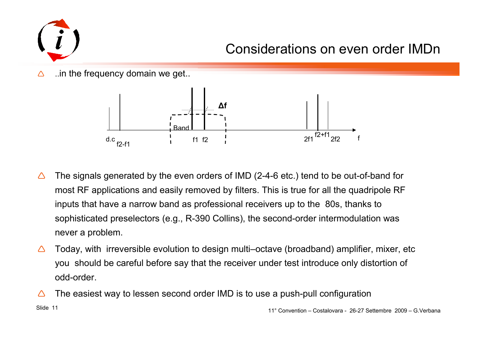

### Considerations on even order IMDn

 $\triangle$ ..in the frequency domain we get..



- $\bigwedge$  The signals generated by the even orders of IMD (2-4-6 etc.) tend to be out-of-band for most RF applications and easily removed by filters. This is true for all the quadripole RF inputs that have a narrow band as professional receivers up to the 80s, thanks to sophisticated preselectors (e.g., R-390 Collins), the second-order intermodulation was never a problem.
- $\bigwedge$  Today, with irreversible evolution to design multi–octave (broadband) amplifier, mixer, etc you should be careful before say that the receiver under test introduce only distortion of odd-order.
- 11° Convention Costalovara 26-27 Settembre 2009 G.Verbana Slide 11 Δ The easiest way to lessen second order IMD is to use a push-pull configuration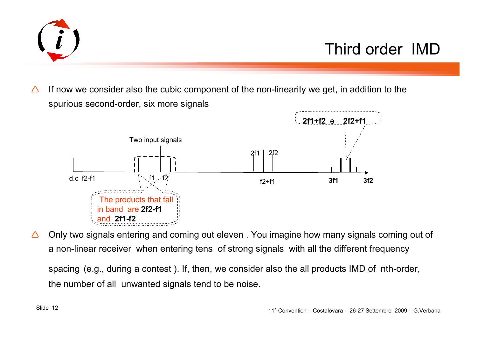

Δ If now we consider also the cubic component of the non-linearity we get, in addition to the spurious second-order, six more signals



Δ Only two signals entering and coming out eleven . You imagine how many signals coming out of a non-linear receiver when entering tens of strong signals with all the different frequency

spacing (e.g., during a contest ). If, then, we consider also the all products IMD of nth-order, the number of all unwanted signals tend to be noise.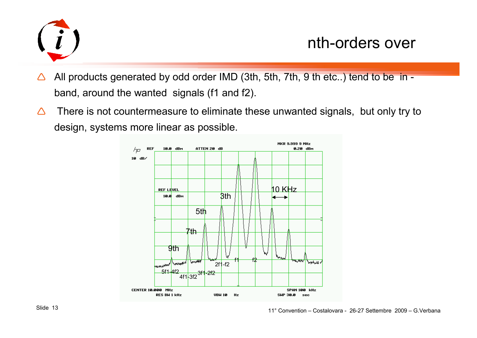

nth-orders over

- $\triangle$ All products generated by odd order IMD (3th, 5th, 7th, 9 th etc..) tend to be in band, around the wanted signals (f1 and f2).
- $\triangle$  There is not countermeasure to eliminate these unwanted signals, but only try to design, systems more linear as possible.

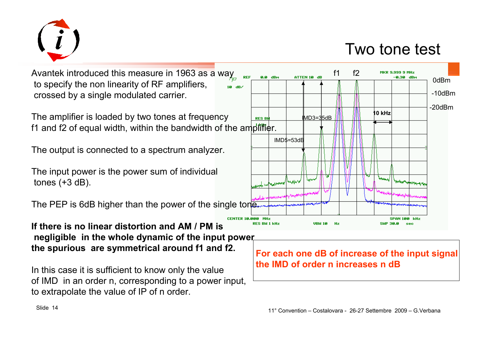

Two tone test

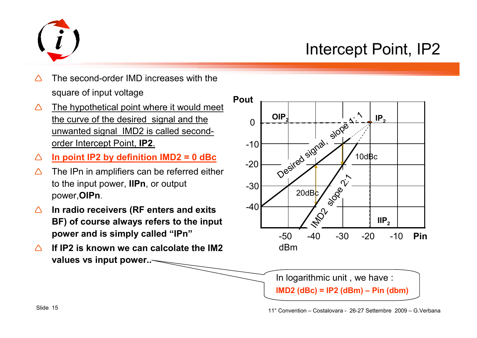

## Intercept Point, IP2

- Λ The second-order IMD increases with the square of input voltage
- $\bigwedge$  The hypothetical point where it would meet the curve of the desired signal and the unwanted signal IMD2 is called secondorder Intercept Point, **IP2**.
- $\bigwedge$ **In point IP2 by definition IMD2 = 0 dBc**
- $\triangle$  The IPn in amplifiers can be referred either to the input power, **IIPn**, or output power,**OIPn**.
- $\Delta$  **In radio receivers (RF enters and exits BF) of course always refers to the input power and is simply called "IPn"**
- $\bigwedge$  **If IP2 is known we can calcolate the IM2 values vs input power..**



In logarithmic unit , we have :

**IMD2 (dBc) = IP2 (dBm) – Pin (dbm)**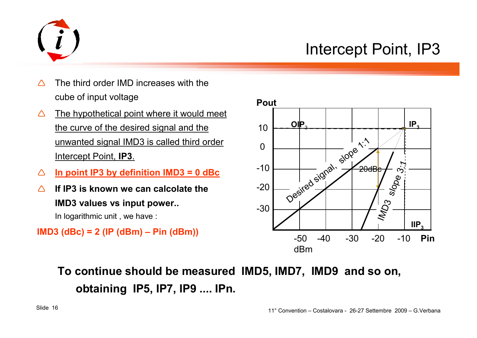

### Intercept Point, IP3

- Δ The third order IMD increases with the cube of input voltage
- $\triangle$  The hypothetical point where it would meet the curve of the desired signal and the unwanted signal IMD3 is called third order Intercept Point, **IP3**.
- Δ **In point IP3 by definition IMD3 = 0 dBc**
- $\Lambda$  **If IP3 is known we can calcolate the IMD3 values vs input power..**In logarithmic unit , we have :



**To continue should be measured IMD5, IMD7, IMD9 and so on, obtaining IP5, IP7, IP9 .... IPn.**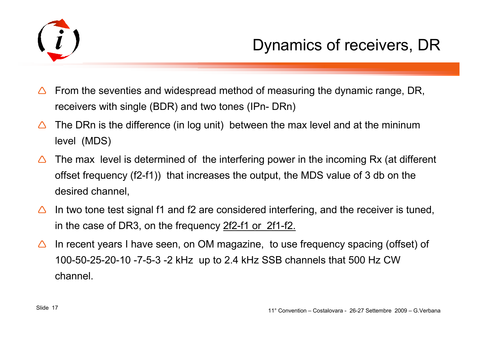

- $\Delta$  From the seventies and widespread method of measuring the dynamic range, DR, receivers with single (BDR) and two tones (IPn- DRn)
- $\Delta$  The DRn is the difference (in log unit) between the max level and at the mininum level (MDS)
- $\Delta$  The max level is determined of the interfering power in the incoming Rx (at different offset frequency (f2-f1)) that increases the output, the MDS value of 3 db on the desired channel,
- $\Delta$  In two tone test signal f1 and f2 are considered interfering, and the receiver is tuned, in the case of DR3, on the frequency 2f2-f1 or 2f1-f2.
- $\Delta$  In recent years I have seen, on OM magazine, to use frequency spacing (offset) of 100-50-25-20-10 -7-5-3 -2 kHz up to 2.4 kHz SSB channels that 500 Hz CW channel.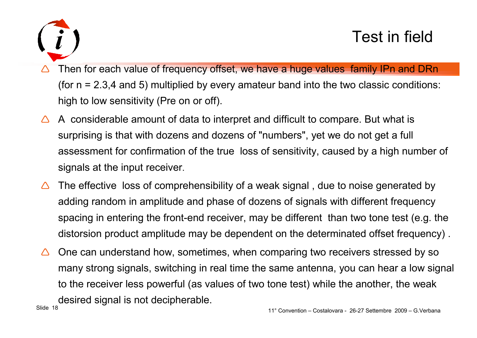

- $\bigwedge$  Then for each value of frequency offset, we have a huge values family IPn and DRn (for n = 2.3,4 and 5) multiplied by every amateur band into the two classic conditions: high to low sensitivity (Pre on or off).
- $\Delta$  A considerable amount of data to interpret and difficult to compare. But what is surprising is that with dozens and dozens of "numbers", yet we do not get a full assessment for confirmation of the true loss of sensitivity, caused by a high number of signals at the input receiver.
- $\bigwedge$  The effective loss of comprehensibility of a weak signal , due to noise generated by adding random in amplitude and phase of dozens of signals with different frequency spacing in entering the front-end receiver, may be different than two tone test (e.g. the distorsion product amplitude may be dependent on the determinated offset frequency) .
- $\triangle$  One can understand how, sometimes, when comparing two receivers stressed by so many strong signals, switching in real time the same antenna, you can hear a low signal to the receiver less powerful (as values of two tone test) while the another, the weak desired signal is not decipherable.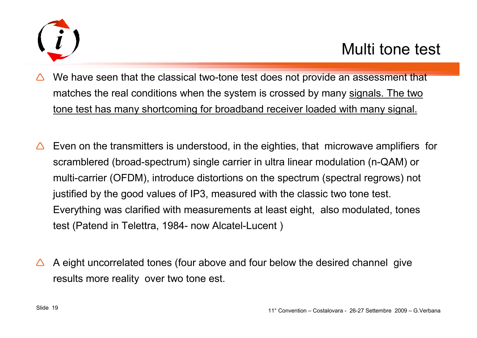

- $\Delta$  We have seen that the classical two-tone test does not provide an assessment that matches the real conditions when the system is crossed by many signals. The two tone test has many shortcoming for broadband receiver loaded with many signal.
- $\triangle$  Even on the transmitters is understood, in the eighties, that microwave amplifiers for scramblered (broad-spectrum) single carrier in ultra linear modulation (n-QAM) or multi-carrier (OFDM), introduce distortions on the spectrum (spectral regrows) not justified by the good values of IP3, measured with the classic two tone test. Everything was clarified with measurements at least eight, also modulated, tones test (Patend in Telettra, 1984- now Alcatel-Lucent )
- $\Delta$  A eight uncorrelated tones (four above and four below the desired channel give results more reality over two tone est.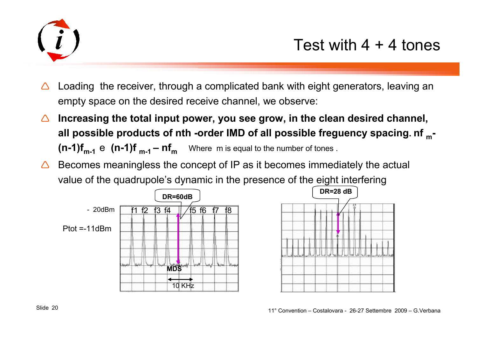

- $\triangle$  Loading the receiver, through a complicated bank with eight generators, leaving an empty space on the desired receive channel, we observe:
- △ Increasing the total input power, you see grow, in the clean desired channel, **all possible products of nth -order IMD of all possible freguency spacing. nf m-(n-1)f** $_{m-1}$  **e** (n-1)f  $_{m-1}$  – nf<sub>m</sub> Where m is equal to the number of tones .
- $\Delta$  Becomes meaningless the concept of IP as it becomes immediately the actual value of the quadrupole's dynamic in the presence of the eight interfering



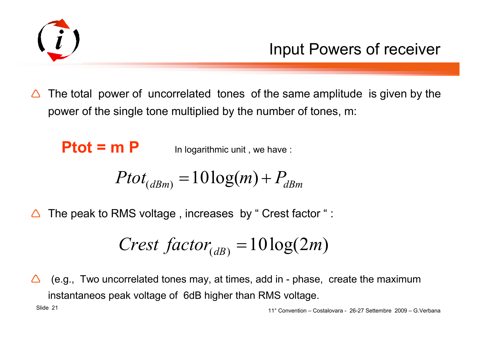

 $\triangle$  The total power of uncorrelated tones of the same amplitude is given by the power of the single tone multiplied by the number of tones, m:

 $Ptot = m P$  In logarithmic unit, we have :

$$
Ptot_{(dBm)} = 10\log(m) + P_{dBm}
$$

 $\bigwedge$ The peak to RMS voltage , increases by " Crest factor " :

$$
Crest\ factor_{(dB)} = 10\log(2m)
$$

 $\bigwedge$  (e.g., Two uncorrelated tones may, at times, add in - phase, create the maximum instantaneos peak voltage of 6dB higher than RMS voltage.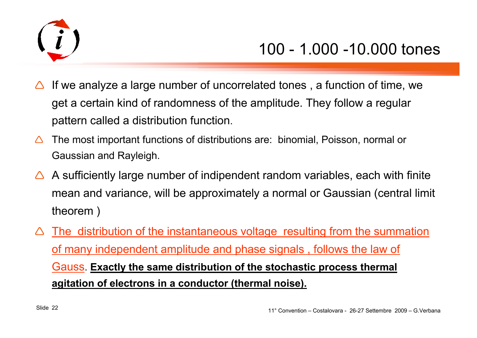

- $\Delta$  If we analyze a large number of uncorrelated tones , a function of time, we get a certain kind of randomness of the amplitude. They follow a regular pattern called a distribution function.
- $\triangle$  The most important functions of distributions are: binomial, Poisson, normal or Gaussian and Rayleigh.
- $\triangle$  A sufficiently large number of indipendent random variables, each with finite mean and variance, will be approximately a normal or Gaussian (central limit theorem )
- $\bigwedge$ The distribution of the instantaneous voltage resulting from the summation of many independent amplitude and phase signals , follows the law of Gauss. **Exactly the same distribution of the stochastic process thermal agitation of electrons in a conductor (thermal noise).**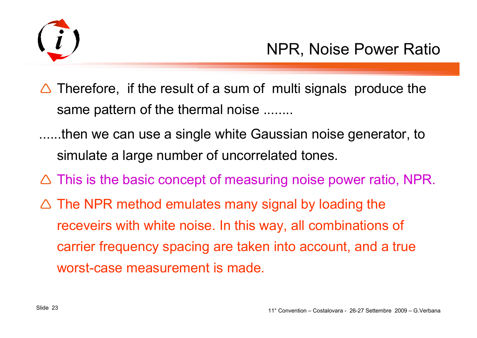

- $\triangle$  Therefore, if the result of a sum of multi signals produce the same pattern of the thermal noise ........
- ......then we can use a single white Gaussian noise generator, to simulate a large number of uncorrelated tones.
- $\triangle$  This is the basic concept of measuring noise power ratio, NPR.
- $\triangle$  The NPR method emulates many signal by loading the receveirs with white noise. In this way, all combinations of carrier frequency spacing are taken into account, and a true worst-case measurement is made.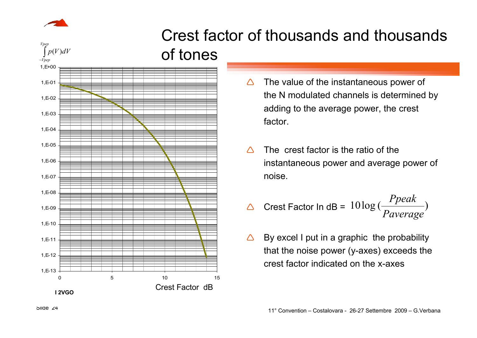



- 1,E-131,E-121,E-111,E-101,E-091,E-081,E-071,E-061,E-051,E-041,E-031,E-021,E-011,E+000 5 10 15 ∫ −*Vpep Vpepp*(*V* )*dV* **I 2VGO** Crest Factor dB
- $\bigwedge$  The value of the instantaneous power of the N modulated channels is determined by adding to the average power, the crest factor.
- $\bigwedge$  The crest factor is the ratio of the instantaneous power and average power of noise.
- $\triangle$  $\triangle$  Crest Factor In dB =  $10 \log \left( \frac{TPear}{Paverage} \right)$ *Paverage Ppeak*
- $\Delta$  By excel I put in a graphic the probability that the noise power (y-axes) exceeds the crest factor indicated on the x-axes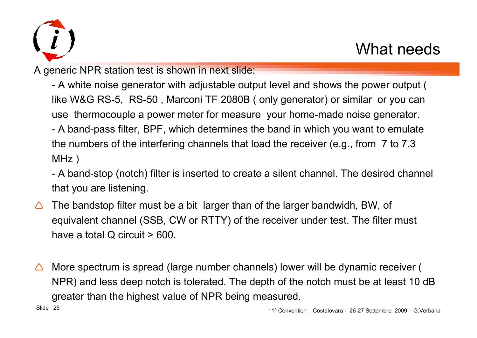

A generic NPR station test is shown in next slide:

- A white noise generator with adjustable output level and shows the power output ( like W&G RS-5, RS-50 , Marconi TF 2080B ( only generator) or similar or you can use thermocouple a power meter for measure your home-made noise generator. - A band-pass filter, BPF, which determines the band in which you want to emulate the numbers of the interfering channels that load the receiver (e.g., from 7 to 7.3 MHz )

- A band-stop (notch) filter is inserted to create a silent channel. The desired channel that you are listening.

- $\bigwedge$  The bandstop filter must be a bit larger than of the larger bandwidh, BW, of equivalent channel (SSB, CW or RTTY) of the receiver under test. The filter must have a total Q circuit > 600.
- $\triangle$  More spectrum is spread (large number channels) lower will be dynamic receiver ( NPR) and less deep notch is tolerated. The depth of the notch must be at least 10 dB greater than the highest value of NPR being measured.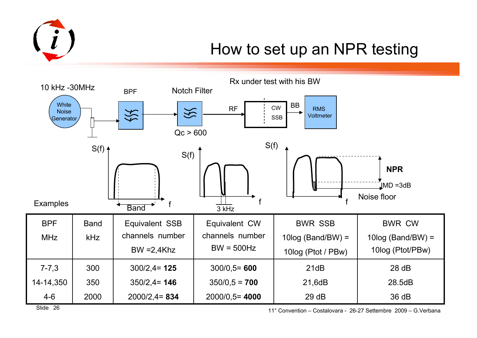

### How to set up an NPR testing



11° Convention – Costalovara - 26-27 Settembre 2009 – G.Verbana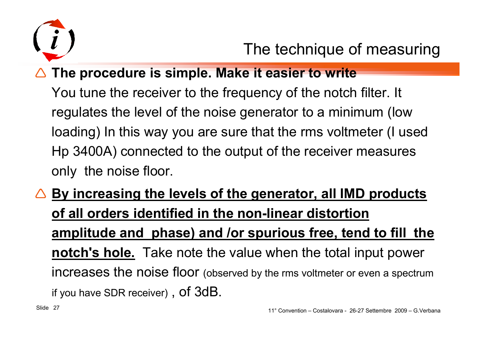

## **The procedure is simple. Make it easier to write**

You tune the receiver to the frequency of the notch filter. It regulates the level of the noise generator to a minimum (low loading) In this way you are sure that the rms voltmeter (I usedHp 3400A) connected to the output of the receiver measures only the noise floor.

△ By increasing the levels of the generator, all IMD products **and in the moon** linear distantion **of all orders identified in the non-linear distortion amplitude and phase) and /or spurious free, tend to fill the notch's hole.** Take note the value when the total input power increases the noise floor (observed by the rms voltmeter or even a spectrum if you have SDR receiver) ,  $\mathop{\mathsf{of}} 3\mathop{\mathsf{dB}}$ .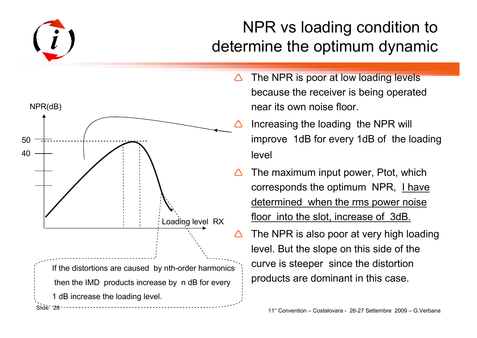

## NPR vs loading condition to determine the optimum dynamic



- $\Delta$  The NPR is poor at low loading levels because the receiver is being operated near its own noise floor.
	- Increasing the loading the NPR will improve 1dB for every 1dB of the loading level
- $\Delta$  The maximum input power, Ptot, which corresponds the optimum NPR, I have determined when the rms power noise floor into the slot, increase of 3dB.
	- The NPR is also poor at very high loading level. But the slope on this side of the curve is steeper since the distortion products are dominant in this case.

nter and the convention – Costalovara - 26-27 Settembre 2009 – G.Verbana - 26-27 Settembre 2009 – G.Verbana Sl<br>The Convention – Costalovara - 26-27 Settembre 2009 – G.Verbana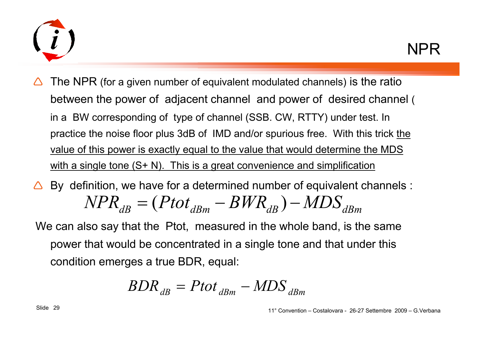

- $\Delta$  The NPR (for a given number of equivalent modulated channels) is the ratio between the power of adjacent channel and power of desired channel ( in a BW corresponding of type of channel (SSB. CW, RTTY) under test. In practice the noise floor plus 3dB of IMD and/or spurious free. With this trick the value of this power is exactly equal to the value that would determine the MDS with a single tone (S+ N). This is a great convenience and simplification
- $\triangle$  By definition, we have for a determined number of equivalent channels :  $NPR_{dB}$ = $= (Pot_{dBm}$ − $-BWR_{dB}$  $(Pot_{dBm} - BWR_{dB}) - MDS_{dBm}$
- We can also say that the Ptot, measured in the whole band, is the same power that would be concentrated in a single tone and that under this condition emerges a true BDR, equal:

$$
BDR_{dB} = Ptot_{dBm} - MDS_{dBm}
$$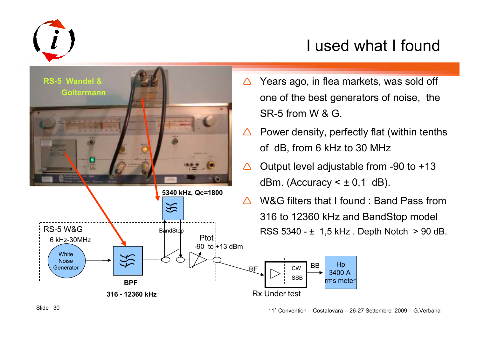

## I used what I found

**RS-5 Wandel & Goltermann5340 kHz, Qc=1800** $\frac{1}{2}$ RS-5 W&GPtot6 kHz-30MHz  $-90$  to  $+13$  dBm **White** Noise

**BPF** 

**316 - 12360 kHz**

- Δ Years ago, in flea markets, was sold off one of the best generators of noise, the SR-5 from W & G.
- $\bigwedge$  Power density, perfectly flat (within tenths of dB, from 6 kHz to 30 MHz
- $\triangle$  Output level adjustable from -90 to +13 dBm. (Accuracy  $\leq \pm 0.1$  dB).
- $\bigwedge$ W&G filters that I found : Band Pass from 316 to 12360 kHz and BandStop model  $B_4$ ndStop  $B_4$ . RSS 5340 -  $\pm 1.5$  kHz. Depth Notch  $> 90$  dB.



Generator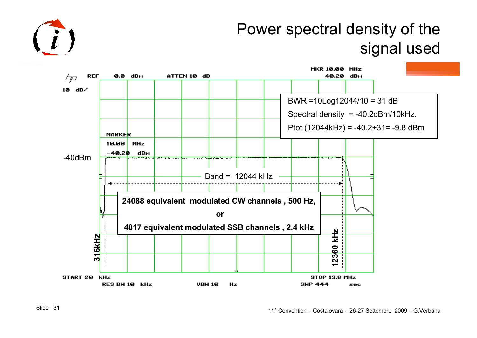

### Power spectral density of the signal used

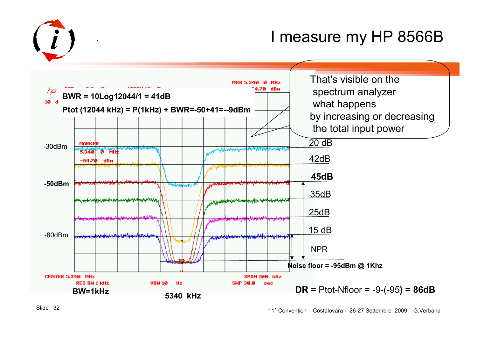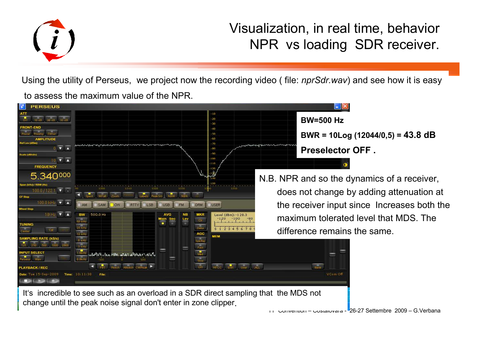

#### Visualization, in real time, behavior NPR vs loading SDR receiver.

Using the utility of Perseus, we project now the recording video ( file: *nprSdr.wav*) and see how it is easy to assess the maximum value of the NPR.



It's incredible to see such as an overload in a SDR direct sampling that the MDS not change until the peak noise signal don't enter in zone clipper.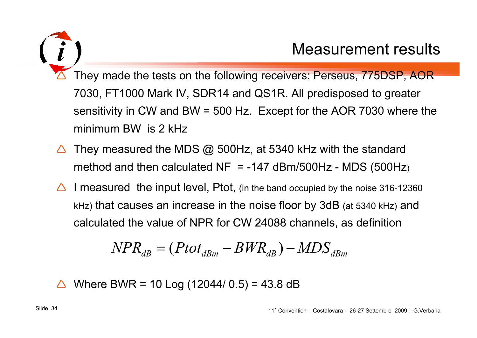

 $\Delta$  They made the tests on the following receivers: Perseus, 775DSP, AOR 7030, FT1000 Mark IV, SDR14 and QS1R. All predisposed to greatersensitivity in CW and BW = 500 Hz. Except for the AOR 7030 where the minimum BW is 2 kHz

- $\Delta$ They measured the MDS  $@$  500Hz, at 5340 kHz with the standard method and then calculated  $NF = -147$  dBm/500Hz - MDS (500Hz)
- $\triangle$  I measured the input level, Ptot, (in the band occupied by the noise 316-12360 kHz) that causes an increase in the noise floor by 3dB (at 5340 kHz) and calculated the value of NPR for CW 24088 channels, as definition

$$
NPR_{dB} = (Pot_{dBm} - BWR_{dB}) - MDS_{dBm}
$$

 $\triangle$  Where BWR = 10 Log (12044/ 0.5) = 43.8 dB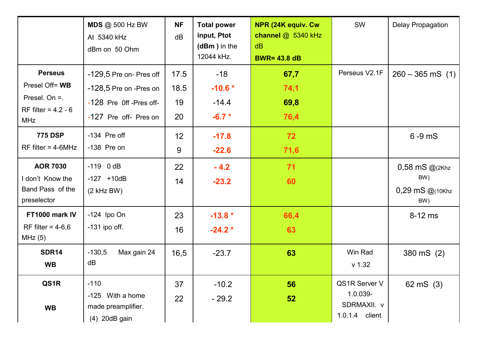|                                                                                             | <b>MDS @ 500 Hz BW</b><br>At 5340 kHz<br>dBm on 50 Ohm                                                | <b>NF</b><br>dB          | <b>Total power</b><br>input, Ptot<br>$(dBm)$ in the<br>12044 kHz. | NPR (24K equiv. Cw<br>channel @ 5340 kHz<br>dB<br><b>BWR= 43.8 dB</b> | <b>SW</b>                                                   | Delay Propagation                                    |
|---------------------------------------------------------------------------------------------|-------------------------------------------------------------------------------------------------------|--------------------------|-------------------------------------------------------------------|-----------------------------------------------------------------------|-------------------------------------------------------------|------------------------------------------------------|
| <b>Perseus</b><br>Presel Off= WB<br>Presel. On $=$ .<br>RF filter = $4.2 - 6$<br><b>MHz</b> | -129,5 Pre on- Pres off<br>-128,5 Pre on -Pres on<br>-128 Pre Off -Pres off-<br>-127 Pre off- Pres on | 17.5<br>18.5<br>19<br>20 | $-18$<br>$-10.6*$<br>$-14.4$<br>$-6.7 *$                          | 67,7<br>74,1<br>69,8<br>76,4                                          | Perseus V2.1F                                               | $260 - 365$ mS $(1)$                                 |
| <b>775 DSP</b><br>$RF$ filter = 4-6MHz                                                      | -134 Pre off<br>$-138$ Pre on                                                                         | 12 <sub>2</sub><br>9     | $-17.8$<br>$-22.6$                                                | 72<br>71,6                                                            |                                                             | $6 - 9$ mS                                           |
| <b>AOR 7030</b><br>I don't Know the<br>Band Pass of the<br>preselector                      | $-119$ 0 dB<br>$-127 + 10dB$<br>$(2$ kHz BW $)$                                                       | 22<br>14                 | $-4.2$<br>$-23.2$                                                 | 71<br>60                                                              |                                                             | $0,58$ mS $@(2Khz)$<br>BW)<br>0,29 mS @(10Khz<br>BW) |
| FT1000 mark IV<br>RF filter = $4-6,6$<br>MHz(5)                                             | $-124$ Ipo On<br>$-131$ ipo off.                                                                      | 23<br>16                 | $-13.8*$<br>$-24.2*$                                              | 66,4<br>63                                                            |                                                             | $8-12$ ms                                            |
| <b>SDR14</b><br><b>WB</b>                                                                   | $-130,5$<br>Max gain 24<br>dB                                                                         | 16,5                     | $-23.7$                                                           | 63                                                                    | Win Rad<br>$v$ 1.32                                         | 380 mS (2)                                           |
| QS1R<br><b>WB</b>                                                                           | $-110$<br>With a home<br>$-125$<br>made preamplifier.<br>(4) 20dB gain                                | 37<br>22                 | $-10.2$<br>$-29.2$                                                | 56<br>52                                                              | QS1R Server V<br>1.0.039-<br>SDRMAXII. v<br>1.0.1.4 client. | 62 mS $(3)$                                          |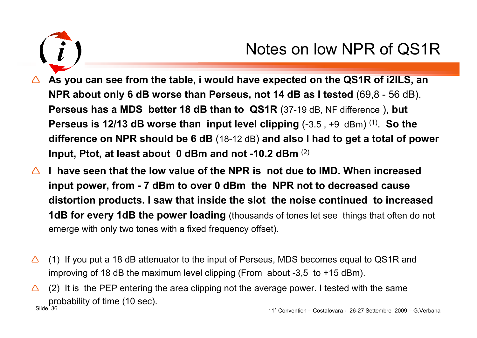

### Notes on low NPR of QS1R

- △ As you can see from the table, i would have expected on the QS1R of i2ILS, an <br>**ALPR shout only 6 dB wares than Barseys, not 44 dB as Lisated (69.8** 56 dB) **NPR about only 6 dB worse than Perseus, not 14 dB as I tested** (69,8 - 56 dB). **Perseus has a MDS better 18 dB than to QS1R** (37-19 dB, NF difference ), **but Perseus is 12/13 dB worse than input level clipping** (-3.5 , +9 dBm) (1). **So the difference on NPR should be 6 dB** (18-12 dB) **and also I had to get a total of power Input, Ptot, at least about 0 dBm and not -10.2 dBm** (2)
- △ I have seen that the low value of the NPR is not due to IMD. When increased **and** increased **and** increased **and** increased **and** increased **and** increased **and** increased **and** increased **and** increased **and** increased **input power, from - 7 dBm to over 0 dBm the NPR not to decreased cause distortion products. I saw that inside the slot the noise continued to increased 1dB for every 1dB the power loading** (thousands of tones let see things that often do not emerge with only two tones with a fixed frequency offset).
- $\Lambda$  (1) If you put a 18 dB attenuator to the input of Perseus, MDS becomes equal to QS1R and improving of 18 dB the maximum level clipping (From about -3,5 to +15 dBm).
- nde 36 and 11° Convention Costalovara 26-27 Settembre 2009 G.Verbana Slide 36  $\bigwedge$  (2) It is the PEP entering the area clipping not the average power. I tested with the same probability of time (10 sec).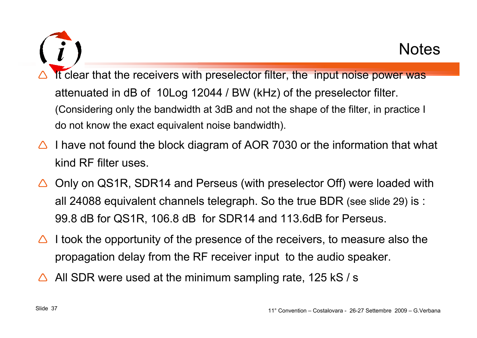$\Delta$ It clear that the receivers with preselector filter, the input noise power was attenuated in dB of 10Log 12044 / BW (kHz) of the preselector filter. (Considering only the bandwidth at 3dB and not the shape of the filter, in practice I do not know the exact equivalent noise bandwidth).

- $\triangle$  I have not found the block diagram of AOR 7030 or the information that what  $\triangle$ kind RF filter uses.
- $\triangle$  Only on QS1R, SDR14 and Perseus (with preselector Off) were loaded with all 24088 equivalent channels telegraph. So the true BDR (see slide 29) is : 99.8 dB for QS1R, 106.8 dB for SDR14 and 113.6dB for Perseus.
- $\bigwedge$  I took the opportunity of the presence of the receivers, to measure also the propagation delay from the RF receiver input to the audio speaker.
- $\bigwedge$ All SDR were used at the minimum sampling rate, 125 kS / s

**Notes**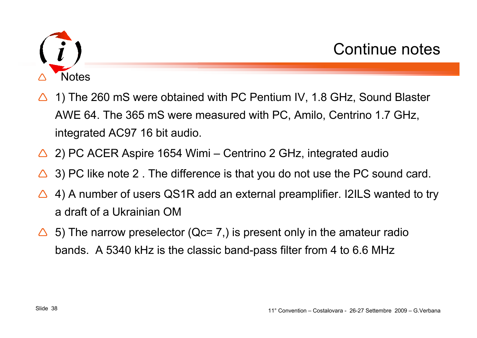

- $\bigwedge$  1) The 260 mS were obtained with PC Pentium IV, 1.8 GHz, Sound Blaster AWE 64. The 365 mS were measured with PC, Amilo, Centrino 1.7 GHz, integrated AC97 16 bit audio.
- △ 2) PC ACER Aspire 1654 Wimi Centrino 2 GHz, integrated audio
- $\Delta$ 3) PC like note 2 . The difference is that you do not use the PC sound card.
- $\triangle$  4) A number of users QS1R add an external preamplifier. I2ILS wanted to try a draft of a Ukrainian OM
- $\Delta^-$  5) The narrow preselector (Qc= 7,) is present only in the amateur radio bands. A 5340 kHz is the classic band-pass filter from 4 to 6.6 MHz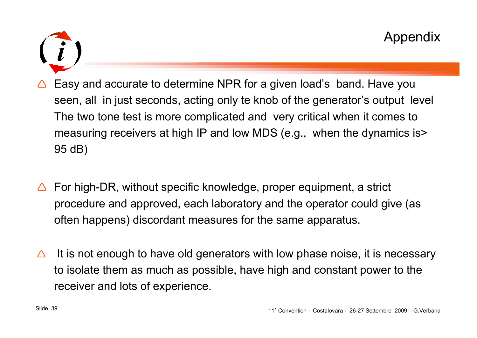

- $\Delta$  Easy and accurate to determine NPR for a given load's band. Have you seen, all in just seconds, acting only te knob of the generator's output level The two tone test is more complicated and very critical when it comes to measuring receivers at high IP and low MDS (e.g., when the dynamics is> 95 dB)
- $\bigwedge$  For high-DR, without specific knowledge, proper equipment, a strict procedure and approved, each laboratory and the operator could give (as often happens) discordant measures for the same apparatus.
- Δ It is not enough to have old generators with low phase noise, it is necessary to isolate them as much as possible, have high and constant power to the receiver and lots of experience.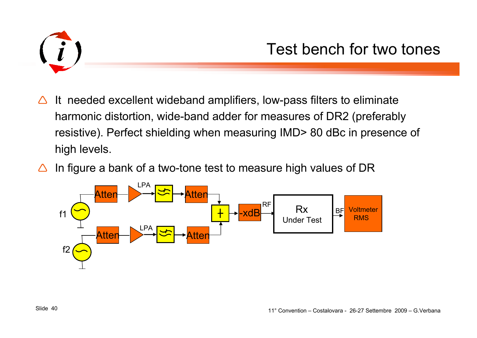

- $\Delta$  It needed excellent wideband amplifiers, low-pass filters to eliminate harmonic distortion, wide-band adder for measures of DR2 (preferably resistive). Perfect shielding when measuring IMD> 80 dBc in presence of high levels.
- $\triangle$ In figure a bank of a two-tone test to measure high values of DR

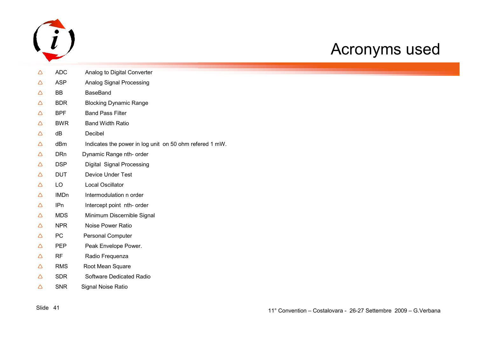

### Acronyms used

| Δ | <b>ADC</b>  | Analog to Digital Converter                             |
|---|-------------|---------------------------------------------------------|
| Δ | <b>ASP</b>  | Analog Signal Processing                                |
| Δ | BB          | <b>BaseBand</b>                                         |
| Δ | <b>BDR</b>  | <b>Blocking Dynamic Range</b>                           |
| Δ | <b>BPF</b>  | <b>Band Pass Filter</b>                                 |
| Δ | <b>BWR</b>  | <b>Band Width Ratio</b>                                 |
| Δ | dB          | Decibel                                                 |
| Δ | dBm         | Indicates the power in log unit on 50 ohm refered 1 mW. |
| Δ | <b>DRn</b>  | Dynamic Range nth- order                                |
| Δ | <b>DSP</b>  | Digital Signal Processing                               |
| Δ | <b>DUT</b>  | <b>Device Under Test</b>                                |
| Δ | LO          | <b>Local Oscillator</b>                                 |
| Δ | <b>IMDn</b> | Intermodulation n order                                 |
| Δ | IPn         | Intercept point nth- order                              |
| Δ | <b>MDS</b>  | Minimum Discernible Signal                              |
| Δ | <b>NPR</b>  | <b>Noise Power Ratio</b>                                |
| Δ | PC          | <b>Personal Computer</b>                                |
| Δ | <b>PEP</b>  | Peak Envelope Power.                                    |
| Δ | RF          | Radio Frequenza                                         |
| Δ | <b>RMS</b>  | Root Mean Square                                        |
| Δ | <b>SDR</b>  | Software Dedicated Radio                                |
| Δ | <b>SNR</b>  | Signal Noise Ratio                                      |
|   |             |                                                         |